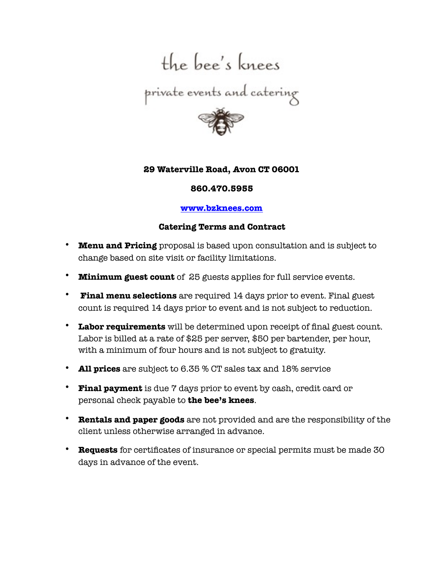

## **29 Waterville Road, Avon CT 06001**

## **860.470.5955**

## **[www.bzknees.com](http://www.bzknees.com)**

## **Catering Terms and Contract**

- **Menu and Pricing** proposal is based upon consultation and is subject to change based on site visit or facility limitations.
- **Minimum guest count** of 25 guests applies for full service events.
- • **Final menu selections** are required 14 days prior to event. Final guest count is required 14 days prior to event and is not subject to reduction.
- **Labor requirements** will be determined upon receipt of final guest count. Labor is billed at a rate of \$25 per server, \$50 per bartender, per hour, with a minimum of four hours and is not subject to gratuity.
- **All prices** are subject to 6.35 % CT sales tax and 18% service
- **Final payment** is due 7 days prior to event by cash, credit card or personal check payable to **the bee's knees**.
- **Rentals and paper goods** are not provided and are the responsibility of the client unless otherwise arranged in advance.
- **Requests** for certificates of insurance or special permits must be made 30 days in advance of the event.